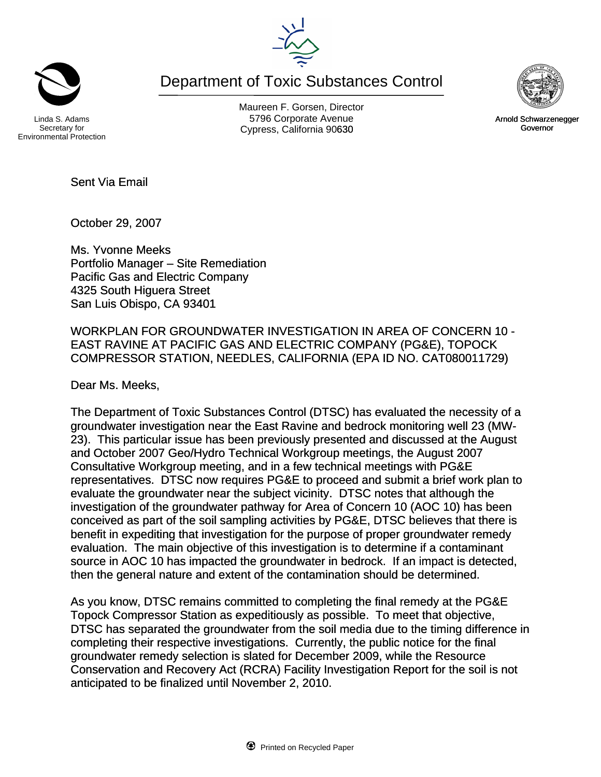Department of Toxic Substances Control

Secretary for Environmental Protection

Maureen F. Gorsen, Director Linda S. Adams **Example 20 Constructs** S796 Corporate Avenu Cypress, California 90630 Governor



October 29, 2007

Sent Via Email

Ms. Yvonne Meeks Portfolio Manager – Site Remediation Pacific Gas and Electric Company 4325 South Higuera Street San Luis Obispo, CA 93401

WORKPLAN FOR GROUNDWATER INVESTIGATION IN AREA OF CONCERN 10 - EAST RAVINE AT PACIFIC GAS AND ELECTRIC COMPANY (PG&E), TOPOCK COMPRESSOR STATION, NEEDLES, CALIFORNIA (EPA ID NO. CAT080011729)

Dear Ms. Meeks,

The Department of Toxic Substances Control (DTSC) has evaluated the necessity of a groundwater investigation near the East Ravine and bedrock monitoring well 23 (MW-23). This particular issue has been previously presented and discussed at the August and October 2007 Geo/Hydro Technical Workgroup meetings, the August 2007 Consultative Workgroup meeting, and in a few technical meetings with PG&E representatives. DTSC now requires PG&E to proceed and submit a brief work plan to evaluate the groundwater near the subject vicinity. DTSC notes that although the investigation of the groundwater pathway for Area of Concern 10 (AOC 10) has been conceived as part of the soil sampling activities by PG&E, DTSC believes that there is benefit in expediting that investigation for the purpose of proper groundwater remedy evaluation. The main objective of this investigation is to determine if a contaminant source in AOC 10 has impacted the groundwater in bedrock. If an impact is detected, then the general nature and extent of the contamination should be determined.

As you know, DTSC remains committed to completing the final remedy at the PG&E Topock Compressor Station as expeditiously as possible. To meet that objective, DTSC has separated the groundwater from the soil media due to the timing difference in completing their respective investigations. Currently, the public notice for the final groundwater remedy selection is slated for December 2009, while the Resource Conservation and Recovery Act (RCRA) Facility Investigation Report for the soil is not anticipated to be finalized until November 2, 2010.



Arnold Schwarzenegger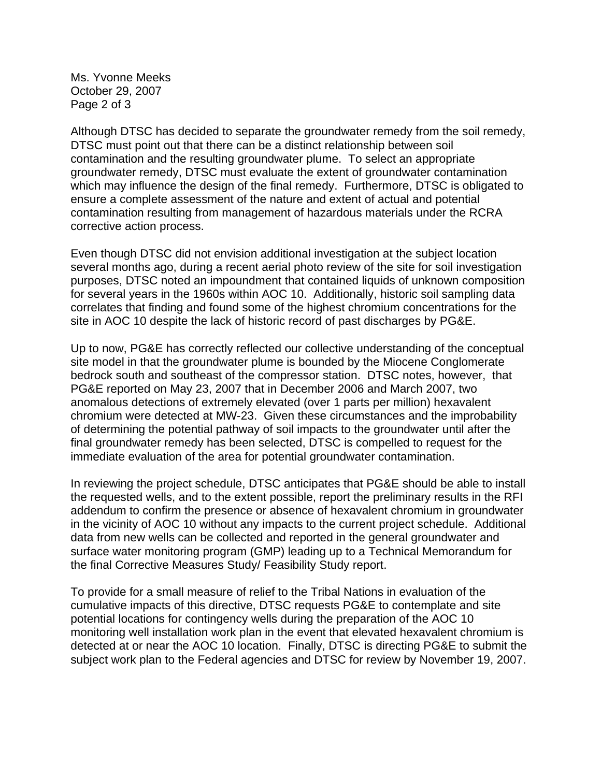Ms. Yvonne Meeks October 29, 2007 Page 2 of 3

Although DTSC has decided to separate the groundwater remedy from the soil remedy, DTSC must point out that there can be a distinct relationship between soil contamination and the resulting groundwater plume. To select an appropriate groundwater remedy, DTSC must evaluate the extent of groundwater contamination which may influence the design of the final remedy. Furthermore, DTSC is obligated to ensure a complete assessment of the nature and extent of actual and potential contamination resulting from management of hazardous materials under the RCRA corrective action process.

Even though DTSC did not envision additional investigation at the subject location several months ago, during a recent aerial photo review of the site for soil investigation purposes, DTSC noted an impoundment that contained liquids of unknown composition for several years in the 1960s within AOC 10. Additionally, historic soil sampling data correlates that finding and found some of the highest chromium concentrations for the site in AOC 10 despite the lack of historic record of past discharges by PG&E.

Up to now, PG&E has correctly reflected our collective understanding of the conceptual site model in that the groundwater plume is bounded by the Miocene Conglomerate bedrock south and southeast of the compressor station. DTSC notes, however, that PG&E reported on May 23, 2007 that in December 2006 and March 2007, two anomalous detections of extremely elevated (over 1 parts per million) hexavalent chromium were detected at MW-23. Given these circumstances and the improbability of determining the potential pathway of soil impacts to the groundwater until after the final groundwater remedy has been selected, DTSC is compelled to request for the immediate evaluation of the area for potential groundwater contamination.

In reviewing the project schedule, DTSC anticipates that PG&E should be able to install the requested wells, and to the extent possible, report the preliminary results in the RFI addendum to confirm the presence or absence of hexavalent chromium in groundwater in the vicinity of AOC 10 without any impacts to the current project schedule. Additional data from new wells can be collected and reported in the general groundwater and surface water monitoring program (GMP) leading up to a Technical Memorandum for the final Corrective Measures Study/ Feasibility Study report.

To provide for a small measure of relief to the Tribal Nations in evaluation of the cumulative impacts of this directive, DTSC requests PG&E to contemplate and site potential locations for contingency wells during the preparation of the AOC 10 monitoring well installation work plan in the event that elevated hexavalent chromium is detected at or near the AOC 10 location. Finally, DTSC is directing PG&E to submit the subject work plan to the Federal agencies and DTSC for review by November 19, 2007.